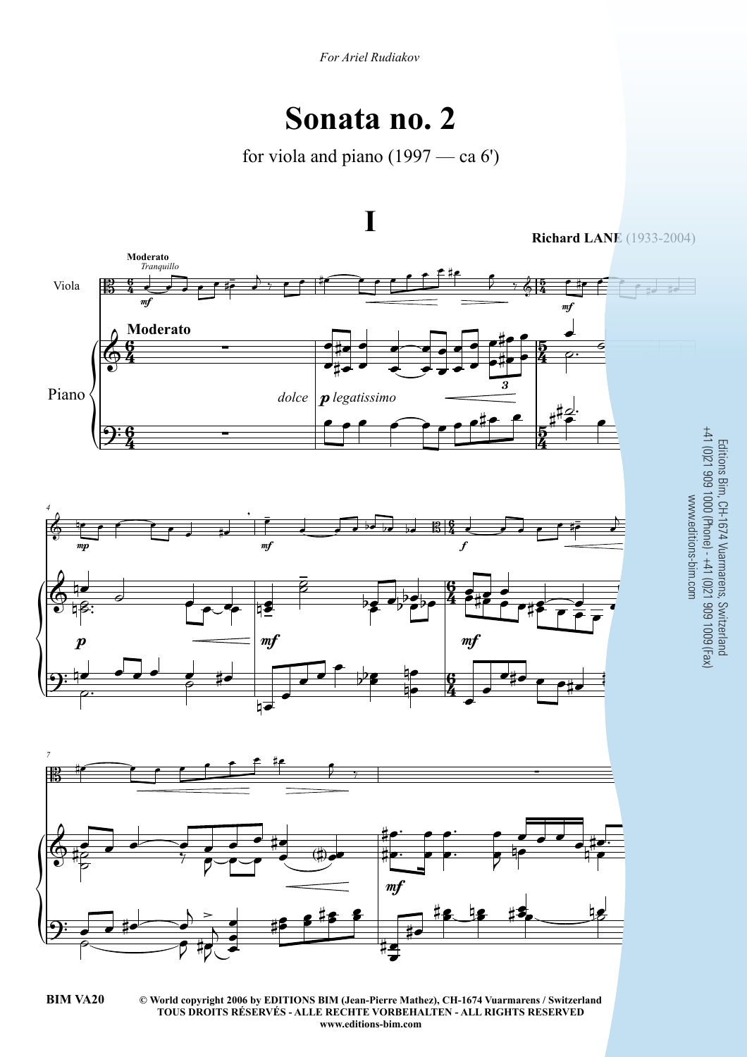## **Sonata no. 2**

for viola and piano (1997 — ca 6')



Editions Bim, CH-1674 Vuarmarens, Switzerland +41 (0)21 909 1000 (Phone) - +41 (0)21 909 1009 (Fax)

**<sup>©</sup> World copyright 2006 by EDITIONS BIM (Jean-Pierre Mathez), CH-1674 Vuarmarens / Switzerland BIM VA20** 3 **TOUS DROITS RÉSERVÉS - ALLE RECHTE VORBEHALTEN - ALL RIGHTS RESERVED www.editions-bim.com**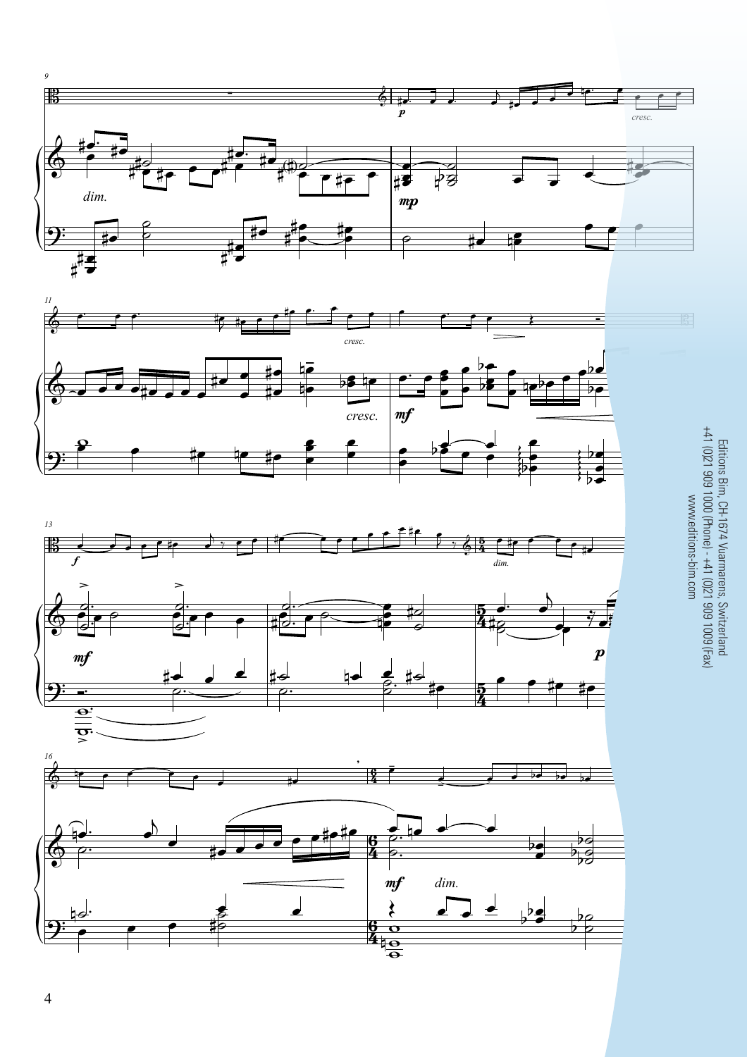







Editions Bim, CH-1674 Vuarmarens, Switzerland<br>+41 (0)21 909 1000 (Phone) - +41 (0)21 909 1009 (Fax)<br>www.editions-bim.com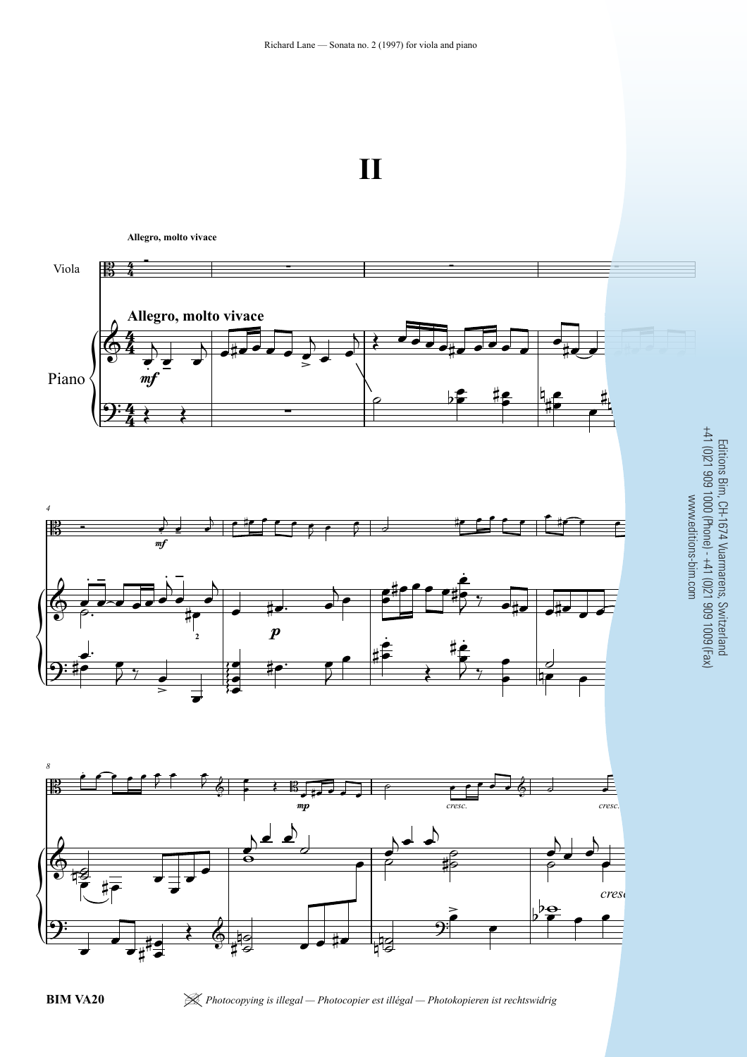

**Allegro, molto vivace**

|<br>|<br>|<br>|<br>| |<br>|<br>|<br>| |<br>|<br>|<br>| **Allegro, molto vivace** Viola Piano *4 8* 4  $\frac{4}{4}$ 4  $\frac{4}{4}$ 4  $\frac{4}{4}$  $\begin{array}{|c|c|c|c|c|c|}\hline \textbf{B} & \textbf{A} & \textbf{B} & \textbf{B} & \textbf{B} & \textbf{B} & \textbf{B} & \textbf{B} & \textbf{B} & \textbf{B} & \textbf{B} & \textbf{B} & \textbf{B} & \textbf{B} & \textbf{B} & \textbf{B} & \textbf{B} & \textbf{B} & \textbf{B} & \textbf{B} & \textbf{B} & \textbf{B} & \textbf{B} & \textbf{B} & \textbf{B} & \textbf{B} & \textbf{B} & \textbf{B} & \textbf$  $\Phi$  $\overrightarrow{=}$ <br> $\overrightarrow{m}$  $\frac{1}{2}$   $\frac{1}{2}$   $\frac{1}{2}$   $\frac{1}{2}$   $\frac{1}{2}$   $\frac{1}{2}$   $\frac{1}{2}$   $\frac{1}{2}$   $\frac{1}{2}$   $\frac{1}{2}$   $\frac{1}{2}$   $\frac{1}{2}$   $\frac{1}{2}$   $\frac{1}{2}$   $\frac{1}{2}$   $\frac{1}{2}$   $\frac{1}{2}$   $\frac{1}{2}$   $\frac{1}{2}$   $\frac{1}{2}$   $\frac{1}{2}$   $\frac{1}{2}$  \$  $m<sub>i</sub>$  $\Phi$  $\boldsymbol{p}$  $\overline{9:1}$ **2** %%%%%% \* \$ % \$ mp *cresc.*  $\bullet$ *cresc.*  $\bigcirc$  4 ' % ,  $\mathbf{\hat{z}}$  $\mathsf{b}$  $\mathsf{b}^!$ *cresc.* 4 .  $\frac{1}{2}$  $\overline{\phantom{a}}$ . , ,( , , , ,  $\geq$ .  $\overline{\phantom{a}}$  $\begin{array}{c} \begin{array}{|c} \hline \end{array} \end{array}$  $\frac{1}{\sqrt{2}}$  $\left\{\right.$  $\overline{P}$ ,  $\frac{1}{2}$ <u>#e |q,e</u><br>|<del>|</del>  $\frac{1}{4}$ , ,  $\frac{1}{2}$  $\overline{\phantom{a}}$  $\overline{\phantom{a}}$  $\overline{\phantom{a}}$ . , ,( , , , ,  $\circ$  ,  $\circ$ <sup>0</sup> <sup>1</sup> ,( , , , , , ,( , , ,( , , ,  $\frac{1}{\beta}$ . .<br>م **)** - , , , ,  $\ddot{\cdot}$ .<br>A  $\overline{\phantom{0}}$ -  $\frac{1}{4}$  $\overline{\phantom{a}}$ . , ,( " ,  $\overline{\ }$ ,  $\bullet$  $\frac{1}{2}$ <u>.</u> **,** .<br>. (  $2^{\frac{1}{2}}$  of  $\frac{1}{2}$  ,  $\frac{1}{2}$ 2 ,  $\frac{1}{\sqrt{2}}$  $\begin{array}{ccc} \bullet & \bullet \\ \hline \bullet & \bullet \end{array}$  $2, 7$  $\overline{z}$  $\frac{1}{\epsilon}$ ,  $\bullet$  ;  $\bullet$  ,  $\bullet$  $\overline{2}$ , ,  $\bullet$ .<br>.  $\overrightarrow{ }$ <u>.</u> <u>,</u><br>१ م<br>#أ  $\frac{1}{2}$  ,  $\frac{1}{2}$ ,  $\overline{\partial}$  $\overset{\circ}{\bullet}$ <u>.</u>  $\overline{r}$  ,  $\overline{r}$  $\frac{1}{2}$  $2 < 6$  $\mathcal{F} \rightarrow \mathbb{R}$ ,  $\mathcal{F} \rightarrow \mathcal{F}$ ,  $\mathcal{F} \rightarrow \mathcal{F}$ ,  $\mathcal{F} \rightarrow \mathcal{F}$ ,  $\mathcal{F} \rightarrow \mathcal{F}$ ,  $\mathcal{F} \rightarrow \mathcal{F}$  $\overline{\mathbf{z}}$ ।<br>8  $\frac{\frac{1}{2}}{\frac{1}{2}}$  ,  $\frac{1}{2}$  ,  $\frac{1}{2}$  $\overline{\phantom{0}}$  $\overline{\phantom{0}}$  $\overline{\phantom{0}}$  $\bullet$  $\frac{1}{2}$  $\frac{1}{\sqrt{2}}$ .  $\overline{\phantom{a}}$  $\frac{1}{2}$  $\frac{1}{2}$  $\overrightarrow{=}$ .  $\overline{\bullet}$  $\frac{1}{10}$  $\frac{1}{\bullet}$  $\overline{a}$  $\overrightarrow{ }$ . , , ,+ ,, ,  $,4.9.$  $\frac{1}{2}$  $\frac{a}{b}$  $\sharp$ s o# $\sharp$ s  $\sharp$ s  $\sharp$ s  $\sharp$ s  $\sharp$ s  $\sharp$ s  $\sharp$ s  $\sharp$ s  $\sharp$ s  $\sharp$ s  $\sharp$ s  $\sharp$ s  $\sharp$ s  $\sharp$ s  $\sharp$ s  $\sharp$ s  $\sharp$ s  $\sharp$ s  $\sharp$ s  $\sharp$ s  $\sharp$ s  $\sharp$ s  $\sharp$ s  $\sharp$ s  $\sharp$ s  $\sharp$ s  $\sharp$ s  $\sharp$ s  $\sharp$ s  $\sharp$ s  $\sharp$ s  $\sharp$ s  $\sharp$ s  $\sharp$ s  $\sharp$ s  $\sharp$ 13<br>13 ,  $\frac{2}{\sqrt{2}}$  $\frac{\Theta}{\Box}$ , , , ,

**)** 

 $\frac{1}{4}$ 

<sup>|</sup> *Photocopying is illegal — Photocopier est illégal — Photokopieren ist rechtswidrig* 7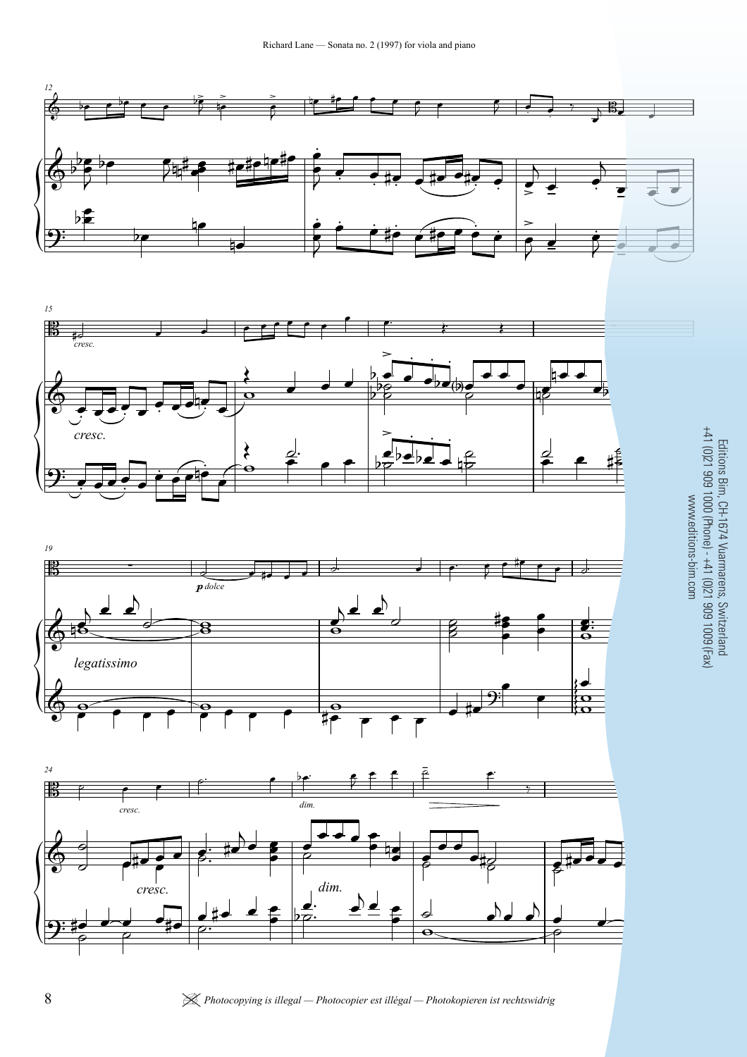Richard Lane - Sonata no. 2 (1997) for viola and piano